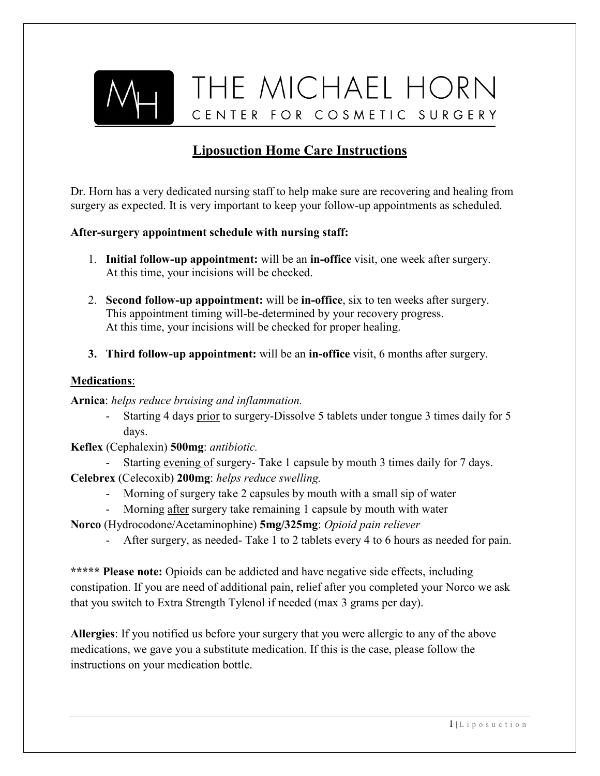

# **Liposuction Home Care Instructions**

Dr. Horn has a very dedicated nursing staff to help make sure are recovering and healing from surgery as expected. It is very important to keep your follow-up appointments as scheduled.

### **After-surgery appointment schedule with nursing staff:**

- 1. **Initial follow-up appointment:** will be an **in-office** visit, one week after surgery. At this time, your incisions will be checked.
- 2. **Second follow-up appointment:** will be **in-office**, six to ten weeks after surgery. This appointment timing will-be-determined by your recovery progress. At this time, your incisions will be checked for proper healing.
- **3. Third follow-up appointment:** will be an **in-office** visit, 6 months after surgery.

### **Medications**:

**Arnica**: *helps reduce bruising and inflammation.*

- Starting 4 days prior to surgery-Dissolve 5 tablets under tongue 3 times daily for 5 days.
- **Keflex** (Cephalexin) **500mg**: *antibiotic.*
- Starting evening of surgery- Take 1 capsule by mouth 3 times daily for 7 days. **Celebrex** (Celecoxib) **200mg**: *helps reduce swelling.*
	- Morning of surgery take 2 capsules by mouth with a small sip of water
	- Morning after surgery take remaining 1 capsule by mouth with water

**Norco** (Hydrocodone/Acetaminophine) **5mg/325mg**: *Opioid pain reliever*

- After surgery, as needed- Take 1 to 2 tablets every 4 to 6 hours as needed for pain.

**\*\*\*\*\* Please note:** Opioids can be addicted and have negative side effects, including constipation. If you are need of additional pain, relief after you completed your Norco we ask that you switch to Extra Strength Tylenol if needed (max 3 grams per day).

**Allergies**: If you notified us before your surgery that you were allergic to any of the above medications, we gave you a substitute medication. If this is the case, please follow the instructions on your medication bottle.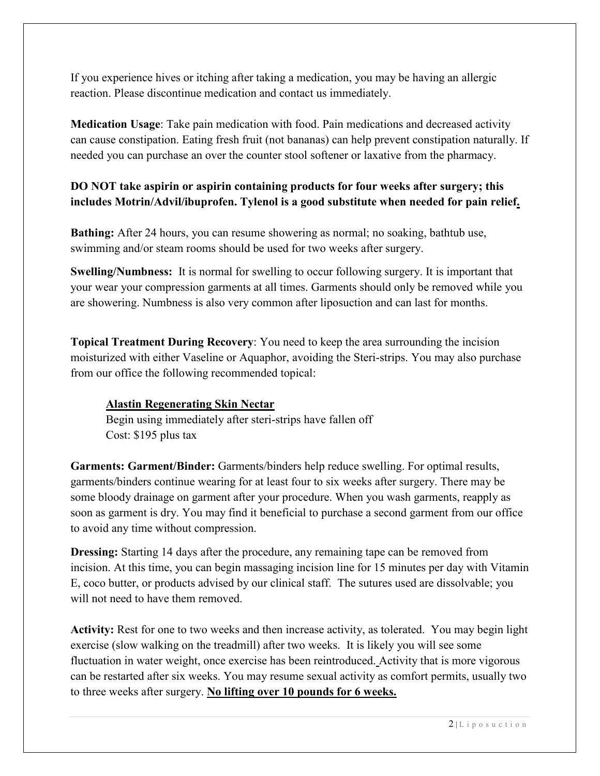If you experience hives or itching after taking a medication, you may be having an allergic reaction. Please discontinue medication and contact us immediately.

**Medication Usage**: Take pain medication with food. Pain medications and decreased activity can cause constipation. Eating fresh fruit (not bananas) can help prevent constipation naturally. If needed you can purchase an over the counter stool softener or laxative from the pharmacy.

# **DO NOT take aspirin or aspirin containing products for four weeks after surgery; this includes Motrin/Advil/ibuprofen. Tylenol is a good substitute when needed for pain relief.**

**Bathing:** After 24 hours, you can resume showering as normal; no soaking, bathtub use, swimming and/or steam rooms should be used for two weeks after surgery.

**Swelling/Numbness:** It is normal for swelling to occur following surgery. It is important that your wear your compression garments at all times. Garments should only be removed while you are showering. Numbness is also very common after liposuction and can last for months.

**Topical Treatment During Recovery**: You need to keep the area surrounding the incision moisturized with either Vaseline or Aquaphor, avoiding the Steri-strips. You may also purchase from our office the following recommended topical:

### **Alastin Regenerating Skin Nectar**

Begin using immediately after steri-strips have fallen off Cost: \$195 plus tax

**Garments: Garment/Binder:** Garments/binders help reduce swelling. For optimal results, garments/binders continue wearing for at least four to six weeks after surgery. There may be some bloody drainage on garment after your procedure. When you wash garments, reapply as soon as garment is dry. You may find it beneficial to purchase a second garment from our office to avoid any time without compression.

**Dressing:** Starting 14 days after the procedure, any remaining tape can be removed from incision. At this time, you can begin massaging incision line for 15 minutes per day with Vitamin E, coco butter, or products advised by our clinical staff. The sutures used are dissolvable; you will not need to have them removed.

**Activity:** Rest for one to two weeks and then increase activity, as tolerated. You may begin light exercise (slow walking on the treadmill) after two weeks. It is likely you will see some fluctuation in water weight, once exercise has been reintroduced. Activity that is more vigorous can be restarted after six weeks. You may resume sexual activity as comfort permits, usually two to three weeks after surgery. **No lifting over 10 pounds for 6 weeks.**